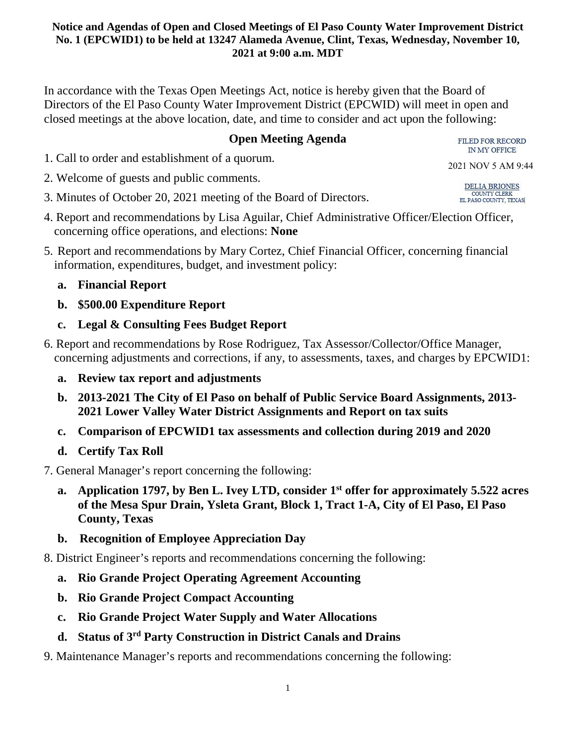In accordance with the Texas Open Meetings Act, notice is hereby given that the Board of Directors of the El Paso County Water Improvement District (EPCWID) will meet in open and closed meetings at the above location, date, and time to consider and act upon the following:

# **Open Meeting Agenda**

1. Call to order and establishment of a quorum.

- 2. Welcome of guests and public comments.
- 3. Minutes of October 20, 2021 meeting of the Board of Directors.
- 4. Report and recommendations by Lisa Aguilar, Chief Administrative Officer/Election Officer, concerning office operations, and elections: **None**
- 5. Report and recommendations by Mary Cortez, Chief Financial Officer, concerning financial information, expenditures, budget, and investment policy:

# **a. Financial Report**

- **b. \$500.00 Expenditure Report**
- **c. Legal & Consulting Fees Budget Report**
- 6. Report and recommendations by Rose Rodriguez, Tax Assessor/Collector/Office Manager, concerning adjustments and corrections, if any, to assessments, taxes, and charges by EPCWID1:
	- **a. Review tax report and adjustments**
	- **b. 2013-2021 The City of El Paso on behalf of Public Service Board Assignments, 2013- 2021 Lower Valley Water District Assignments and Report on tax suits**
	- **c. Comparison of EPCWID1 tax assessments and collection during 2019 and 2020**
	- **d. Certify Tax Roll**
- 7. General Manager's report concerning the following:
	- **a. Application 1797, by Ben L. Ivey LTD, consider 1st offer for approximately 5.522 acres of the Mesa Spur Drain, Ysleta Grant, Block 1, Tract 1-A, City of El Paso, El Paso County, Texas**
	- **b. Recognition of Employee Appreciation Day**

8. District Engineer's reports and recommendations concerning the following:

- **a. Rio Grande Project Operating Agreement Accounting**
- **b. Rio Grande Project Compact Accounting**
- **c. Rio Grande Project Water Supply and Water Allocations**
- **d. Status of 3rd Party Construction in District Canals and Drains**
- 9. Maintenance Manager's reports and recommendations concerning the following:

FILED FOR RECORD **IN MY OFFICE** 

2021 NOV 5 AM 9:44

DELIA BRIONES COUNTY CLERK EL PASO COUNTY, TEXAS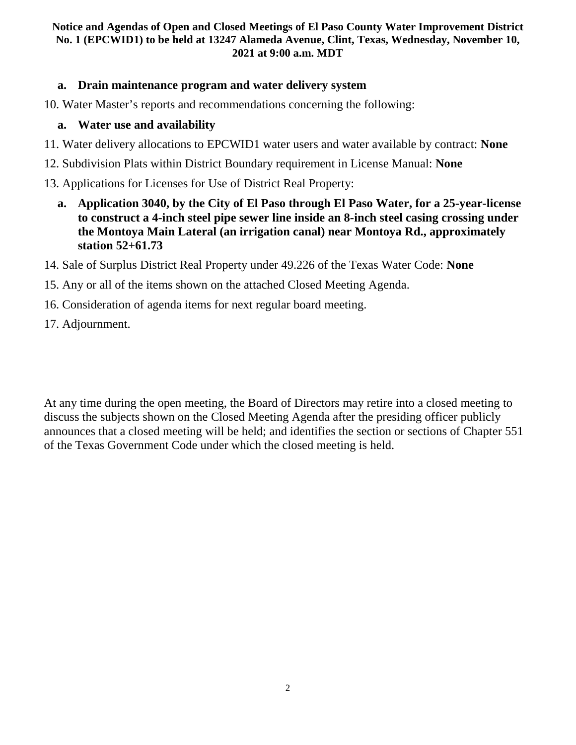### **a. Drain maintenance program and water delivery system**

10. Water Master's reports and recommendations concerning the following:

### **a. Water use and availability**

- 11. Water delivery allocations to EPCWID1 water users and water available by contract: **None**
- 12. Subdivision Plats within District Boundary requirement in License Manual: **None**
- 13. Applications for Licenses for Use of District Real Property:
	- **a. Application 3040, by the City of El Paso through El Paso Water, for a 25-year-license to construct a 4-inch steel pipe sewer line inside an 8-inch steel casing crossing under the Montoya Main Lateral (an irrigation canal) near Montoya Rd., approximately station 52+61.73**
- 14. Sale of Surplus District Real Property under 49.226 of the Texas Water Code: **None**
- 15. Any or all of the items shown on the attached Closed Meeting Agenda.
- 16. Consideration of agenda items for next regular board meeting.
- 17. Adjournment.

At any time during the open meeting, the Board of Directors may retire into a closed meeting to discuss the subjects shown on the Closed Meeting Agenda after the presiding officer publicly announces that a closed meeting will be held; and identifies the section or sections of Chapter 551 of the Texas Government Code under which the closed meeting is held.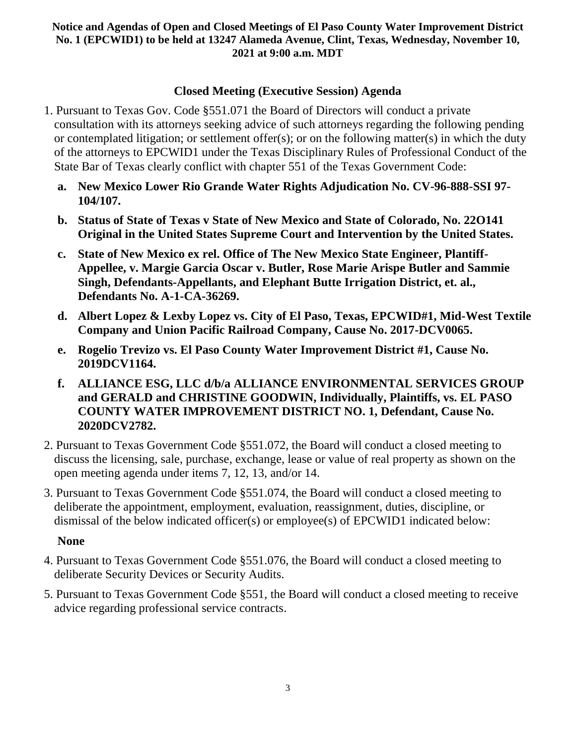## **Closed Meeting (Executive Session) Agenda**

- 1. Pursuant to Texas Gov. Code §551.071 the Board of Directors will conduct a private consultation with its attorneys seeking advice of such attorneys regarding the following pending or contemplated litigation; or settlement offer(s); or on the following matter(s) in which the duty of the attorneys to EPCWID1 under the Texas Disciplinary Rules of Professional Conduct of the State Bar of Texas clearly conflict with chapter 551 of the Texas Government Code:
	- **a. New Mexico Lower Rio Grande Water Rights Adjudication No. CV-96-888-SSI 97- 104/107.**
	- **b. Status of State of Texas v State of New Mexico and State of Colorado, No. 22O141 Original in the United States Supreme Court and Intervention by the United States.**
	- **c. State of New Mexico ex rel. Office of The New Mexico State Engineer, Plantiff-Appellee, v. Margie Garcia Oscar v. Butler, Rose Marie Arispe Butler and Sammie Singh, Defendants-Appellants, and Elephant Butte Irrigation District, et. al., Defendants No. A-1-CA-36269.**
	- **d. Albert Lopez & Lexby Lopez vs. City of El Paso, Texas, EPCWID#1, Mid-West Textile Company and Union Pacific Railroad Company, Cause No. 2017-DCV0065.**
	- **e. Rogelio Trevizo vs. El Paso County Water Improvement District #1, Cause No. 2019DCV1164.**
	- **f. ALLIANCE ESG, LLC d/b/a ALLIANCE ENVIRONMENTAL SERVICES GROUP and GERALD and CHRISTINE GOODWIN, Individually, Plaintiffs, vs. EL PASO COUNTY WATER IMPROVEMENT DISTRICT NO. 1, Defendant, Cause No. 2020DCV2782.**
- 2. Pursuant to Texas Government Code §551.072, the Board will conduct a closed meeting to discuss the licensing, sale, purchase, exchange, lease or value of real property as shown on the open meeting agenda under items 7, 12, 13, and/or 14.
- 3. Pursuant to Texas Government Code §551.074, the Board will conduct a closed meeting to deliberate the appointment, employment, evaluation, reassignment, duties, discipline, or dismissal of the below indicated officer(s) or employee(s) of EPCWID1 indicated below:

## **None**

- 4. Pursuant to Texas Government Code §551.076, the Board will conduct a closed meeting to deliberate Security Devices or Security Audits.
- 5. Pursuant to Texas Government Code §551, the Board will conduct a closed meeting to receive advice regarding professional service contracts.